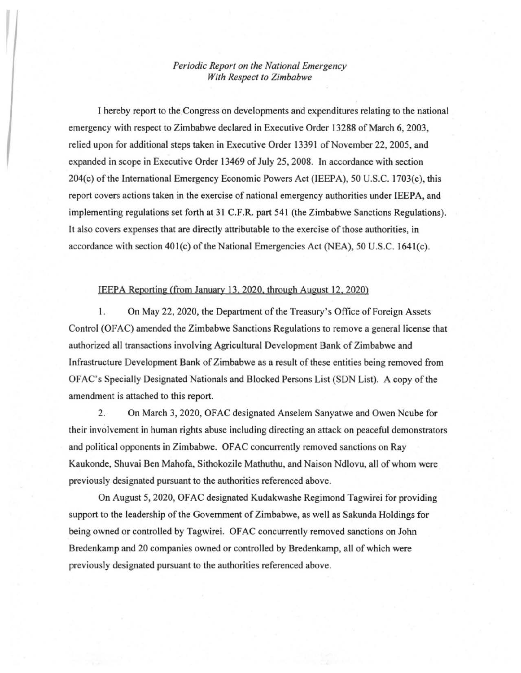## *Periodic Report on the National Emergency With Respect to Zimbabwe*

 $\left| \ \right|$ 

I hereby report to the Congress on developments and expenditures relating to the national emergency with respect to Zimbabwe declared in Executive Order 13288 of March 6, 2003, relied upon for additional steps taken in Executive Order 13391 of November 22, 2005, and expanded in scope in Executive Order 13469 of July 25, 2008. In accordance with section 204(c) of the International Emergency Economic Powers Act (IEEPA), 50 U.S.C. 1703(c), this report covers actions taken in the exercise of national emergency authorities under IEEPA, and implementing regulations set forth at 31 C.F.R. part 541 (the Zimbabwe Sanctions Regulations). It also covers expenses that are directly attributable to the exercise of those authorities, in accordance with section  $401(c)$  of the National Emergencies Act (NEA), 50 U.S.C. 1641(c).

## IEEPA Reporting (from January 13.2020. through August 12.2020)

1. On May 22, 2020, the Department of the Treasury's Office of Foreign Assets Control (OFAC) amended the Zimbabwe Sanctions Regulations to remove a general license that authorized all transactions involving Agricultural Development Bank of Zimbabwe and Infrastructure Development Bank of Zimbabwe as a result of these entities being removed from OFAC's Specially Designated Nationals and Blocked Persons List (SDN List). A copy ofthe amendment is attached to this report.

2. On March 3, 2020, OF AC designated Anselem Sanyatwe and Owen Ncube for their involvement in human rights abuse including directing an attack on peaceful demonstrators and political opponents in Zimbabwe. OF AC concurrently removed sanctions on Ray Kaukonde, Shuvai Ben Mahofa, Sithokozile Mathuthu, and Naison Ndlovu, all ofwhom were previously designated pursuant to the authorities referenced above.

On August 5, 2020, OF AC designated Kudakwashe Regimond Tagwirei for providing support to the leadership of the Govemment of Zimbabwe, as well as Sakunda Holdings for being owned or controlled by Tagwirei. OF AC concurrently removed sanctions on John Bredenkamp and 20 companies owned or controlled by Bredenkamp, all of which were previously designated pursuant to the authorities referenced above.